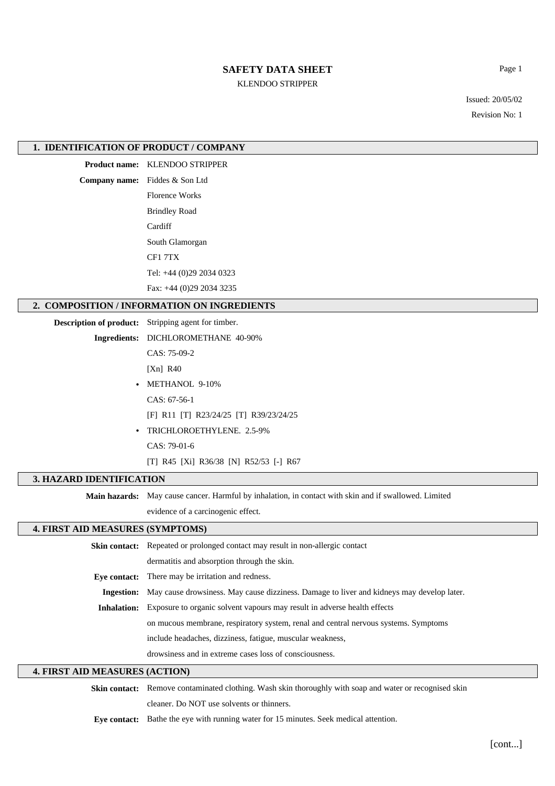# **SAFETY DATA SHEET**

KLENDOO STRIPPER

Issued: 20/05/02

Page 1

Revision No: 1

## **1. IDENTIFICATION OF PRODUCT / COMPANY**

**Product name:** KLENDOO STRIPPER

**Company name:** Fiddes & Son Ltd Florence Works Brindley Road **Cardiff** South Glamorgan CF1 7TX Tel: +44 (0)29 2034 0323 Fax: +44 (0)29 2034 3235

## **2. COMPOSITION / INFORMATION ON INGREDIENTS**

**Description of product:** Stripping agent for timber.

**Ingredients:** DICHLOROMETHANE 40-90%

CAS: 75-09-2

[Xn] R40

**•** METHANOL 9-10% CAS: 67-56-1 [F] R11 [T] R23/24/25 [T] R39/23/24/25 **•** TRICHLOROETHYLENE. 2.5-9%

CAS: 79-01-6

[T] R45 [Xi] R36/38 [N] R52/53 [-] R67

## **3. HAZARD IDENTIFICATION**

**Main hazards:** May cause cancer. Harmful by inhalation, in contact with skin and if swallowed. Limited

evidence of a carcinogenic effect.

## **4. FIRST AID MEASURES (SYMPTOMS)**

| <b>Skin contact:</b> Repeated or prolonged contact may result in non-allergic contact                       |  |  |
|-------------------------------------------------------------------------------------------------------------|--|--|
| dermatitis and absorption through the skin.                                                                 |  |  |
| <b>Eve contact:</b> There may be irritation and redness.                                                    |  |  |
| <b>Ingestion:</b> May cause drowsiness. May cause dizziness. Damage to liver and kidneys may develop later. |  |  |
| <b>Inhalation:</b> Exposure to organic solvent vapours may result in adverse health effects                 |  |  |
| on mucous membrane, respiratory system, renal and central nervous systems. Symptoms                         |  |  |
| include headaches, dizziness, fatigue, muscular weakness,                                                   |  |  |
| drowsiness and in extreme cases loss of consciousness.                                                      |  |  |

## **4. FIRST AID MEASURES (ACTION)**

**Skin contact:** Remove contaminated clothing. Wash skin thoroughly with soap and water or recognised skin cleaner. Do NOT use solvents or thinners.

**Eye contact:** Bathe the eye with running water for 15 minutes. Seek medical attention.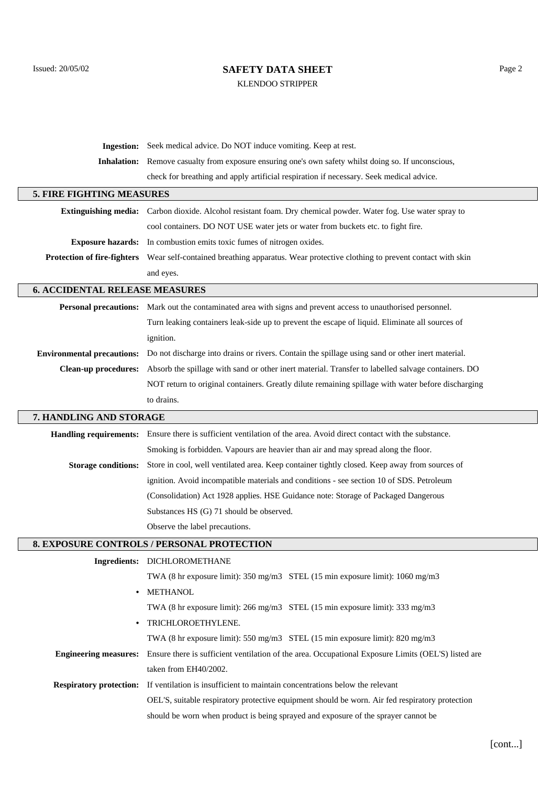# Issued: 20/05/02 Page 2 KLENDOO STRIPPER

| Ingestion:                            | Seek medical advice. Do NOT induce vomiting. Keep at rest.                                                          |  |  |
|---------------------------------------|---------------------------------------------------------------------------------------------------------------------|--|--|
| <b>Inhalation:</b>                    | Remove casualty from exposure ensuring one's own safety whilst doing so. If unconscious,                            |  |  |
|                                       | check for breathing and apply artificial respiration if necessary. Seek medical advice.                             |  |  |
| <b>5. FIRE FIGHTING MEASURES</b>      |                                                                                                                     |  |  |
|                                       | Extinguishing media: Carbon dioxide. Alcohol resistant foam. Dry chemical powder. Water fog. Use water spray to     |  |  |
|                                       | cool containers. DO NOT USE water jets or water from buckets etc. to fight fire.                                    |  |  |
| <b>Exposure hazards:</b>              | In combustion emits toxic fumes of nitrogen oxides.                                                                 |  |  |
| <b>Protection of fire-fighters</b>    | Wear self-contained breathing apparatus. Wear protective clothing to prevent contact with skin                      |  |  |
|                                       | and eyes.                                                                                                           |  |  |
| <b>6. ACCIDENTAL RELEASE MEASURES</b> |                                                                                                                     |  |  |
| <b>Personal precautions:</b>          | Mark out the contaminated area with signs and prevent access to unauthorised personnel.                             |  |  |
|                                       | Turn leaking containers leak-side up to prevent the escape of liquid. Eliminate all sources of                      |  |  |
|                                       | ignition.                                                                                                           |  |  |
| <b>Environmental precautions:</b>     | Do not discharge into drains or rivers. Contain the spillage using sand or other inert material.                    |  |  |
| <b>Clean-up procedures:</b>           | Absorb the spillage with sand or other inert material. Transfer to labelled salvage containers. DO                  |  |  |
|                                       | NOT return to original containers. Greatly dilute remaining spillage with water before discharging                  |  |  |
|                                       | to drains.                                                                                                          |  |  |
| 7. HANDLING AND STORAGE               |                                                                                                                     |  |  |
|                                       | Handling requirements: Ensure there is sufficient ventilation of the area. Avoid direct contact with the substance. |  |  |
|                                       | Smoking is forbidden. Vapours are heavier than air and may spread along the floor.                                  |  |  |
| <b>Storage conditions:</b>            | Store in cool, well ventilated area. Keep container tightly closed. Keep away from sources of                       |  |  |
|                                       | ignition. Avoid incompatible materials and conditions - see section 10 of SDS. Petroleum                            |  |  |
|                                       | (Consolidation) Act 1928 applies. HSE Guidance note: Storage of Packaged Dangerous                                  |  |  |
|                                       | Substances HS (G) 71 should be observed.                                                                            |  |  |
|                                       | Observe the label precautions.                                                                                      |  |  |
|                                       | 8. EXPOSURE CONTROLS / PERSONAL PROTECTION                                                                          |  |  |
|                                       | Ingredients: DICHLOROMETHANE                                                                                        |  |  |
|                                       | TWA (8 hr exposure limit): 350 mg/m3 STEL (15 min exposure limit): 1060 mg/m3                                       |  |  |
| $\bullet$                             | <b>METHANOL</b>                                                                                                     |  |  |
|                                       | TWA (8 hr exposure limit): $266 \text{ mg/m}$ 3 STEL (15 min exposure limit): 333 mg/m3                             |  |  |
|                                       | TRICHLOROETHYLENE.                                                                                                  |  |  |
|                                       | TWA (8 hr exposure limit): $550 \text{ mg/m}$ 3 STEL (15 min exposure limit): $820 \text{ mg/m}$ 3                  |  |  |
| <b>Engineering measures:</b>          | Ensure there is sufficient ventilation of the area. Occupational Exposure Limits (OEL'S) listed are                 |  |  |
|                                       | taken from EH40/2002.                                                                                               |  |  |
| <b>Respiratory protection:</b>        | If ventilation is insufficient to maintain concentrations below the relevant                                        |  |  |
|                                       | OEL'S, suitable respiratory protective equipment should be worn. Air fed respiratory protection                     |  |  |
|                                       | should be worn when product is being sprayed and exposure of the sprayer cannot be                                  |  |  |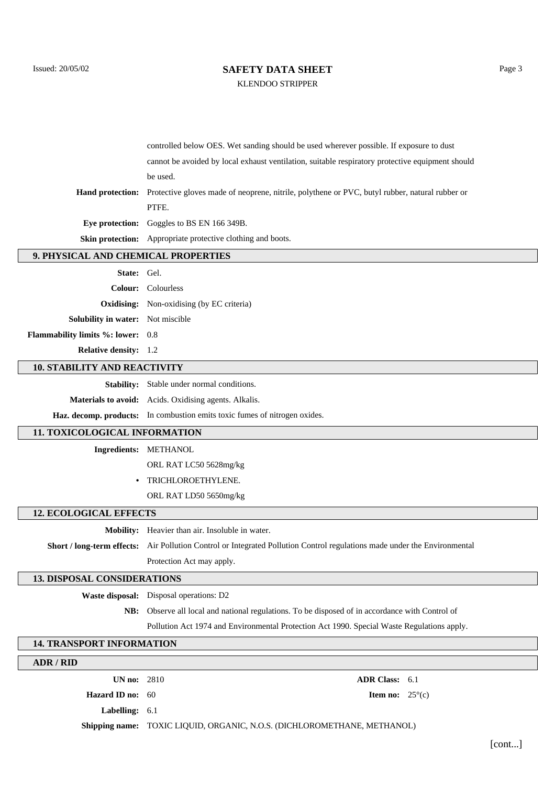# Issued: 20/05/02 Page 3

KLENDOO STRIPPER

| controlled below OES. Wet sanding should be used wherever possible. If exposure to dust                                |  |  |
|------------------------------------------------------------------------------------------------------------------------|--|--|
| cannot be avoided by local exhaust ventilation, suitable respiratory protective equipment should                       |  |  |
| be used.                                                                                                               |  |  |
| <b>Hand protection:</b> Protective gloves made of neoprene, nitrile, polythene or PVC, butyl rubber, natural rubber or |  |  |
| PTFE.                                                                                                                  |  |  |
| <b>Eve protection:</b> Goggles to BS EN 166 349B.                                                                      |  |  |
| <b>Skin protection:</b> Appropriate protective clothing and boots.                                                     |  |  |

#### **9. PHYSICAL AND CHEMICAL PROPERTIES**

| State: Gel.                              |                                                  |  |  |
|------------------------------------------|--------------------------------------------------|--|--|
|                                          | <b>Colour:</b> Colourless                        |  |  |
|                                          | <b>Oxidising:</b> Non-oxidising (by EC criteria) |  |  |
| <b>Solubility in water:</b> Not miscible |                                                  |  |  |
| <b>Flammability limits %: lower:</b> 0.8 |                                                  |  |  |
| <b>Relative density:</b> 1.2             |                                                  |  |  |

### **10. STABILITY AND REACTIVITY**

**Stability:** Stable under normal conditions. **Materials to avoid:** Acids. Oxidising agents. Alkalis. **Haz. decomp. products:** In combustion emits toxic fumes of nitrogen oxides.

#### **11. TOXICOLOGICAL INFORMATION**

**Ingredients:** METHANOL

ORL RAT LC50 5628mg/kg

**•** TRICHLOROETHYLENE.

ORL RAT LD50 5650mg/kg

## **12. ECOLOGICAL EFFECTS**

**Mobility:** Heavier than air. Insoluble in water.

**Short / long-term effects:** Air Pollution Control or Integrated Pollution Control regulations made under the Environmental Protection Act may apply.

### **13. DISPOSAL CONSIDERATIONS**

**Waste disposal:** Disposal operations: D2

**NB:** Observe all local and national regulations. To be disposed of in accordance with Control of

Pollution Act 1974 and Environmental Protection Act 1990. Special Waste Regulations apply.

### **14. TRANSPORT INFORMATION**

| ADR/RID                   |                                                                          |  |                                  |
|---------------------------|--------------------------------------------------------------------------|--|----------------------------------|
| UN no: $2810$             | <b>ADR Class:</b> 6.1                                                    |  |                                  |
| <b>Hazard ID</b> no: $60$ |                                                                          |  | <b>Item no:</b> $25^{\circ}$ (c) |
| <b>Labelling:</b> $6.1$   |                                                                          |  |                                  |
|                           | Shipping name: TOXIC LIQUID, ORGANIC, N.O.S. (DICHLOROMETHANE, METHANOL) |  |                                  |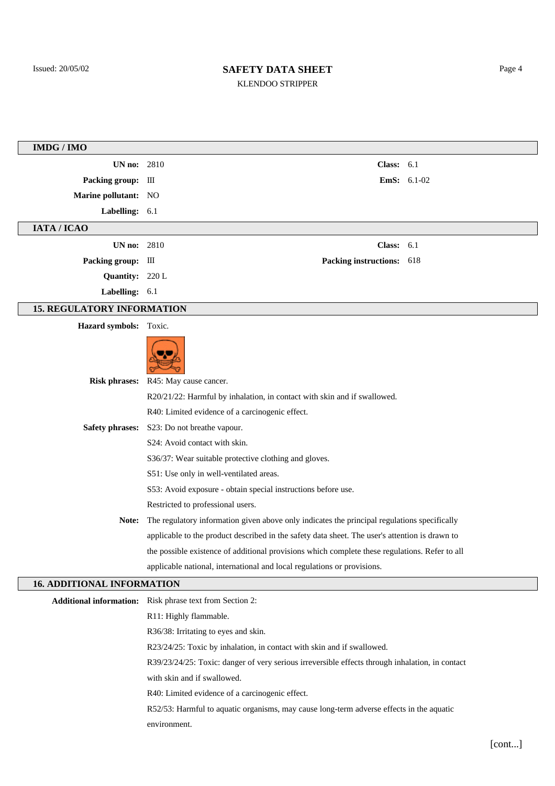# Issued: 20/05/02 Page 4 KLENDOO STRIPPER

| IMDG / IMO                        |                                                                                                                             |  |  |  |  |
|-----------------------------------|-----------------------------------------------------------------------------------------------------------------------------|--|--|--|--|
| <b>UN no:</b> 2810                | Class: $6.1$                                                                                                                |  |  |  |  |
| Packing group: III                | EmS: 6.1-02                                                                                                                 |  |  |  |  |
| Marine pollutant: NO              |                                                                                                                             |  |  |  |  |
| Labelling: 6.1                    |                                                                                                                             |  |  |  |  |
| IATA / ICAO                       |                                                                                                                             |  |  |  |  |
| <b>UN no: 2810</b>                | Class: $6.1$                                                                                                                |  |  |  |  |
| Packing group: III                | Packing instructions: 618                                                                                                   |  |  |  |  |
| Quantity: 220 L                   |                                                                                                                             |  |  |  |  |
| Labelling: 6.1                    |                                                                                                                             |  |  |  |  |
| <b>15. REGULATORY INFORMATION</b> |                                                                                                                             |  |  |  |  |
| Hazard symbols: Toxic.            |                                                                                                                             |  |  |  |  |
|                                   |                                                                                                                             |  |  |  |  |
| <b>Risk phrases:</b>              | R45: May cause cancer.                                                                                                      |  |  |  |  |
|                                   | R20/21/22: Harmful by inhalation, in contact with skin and if swallowed.<br>R40: Limited evidence of a carcinogenic effect. |  |  |  |  |
|                                   | Safety phrases: S23: Do not breathe vapour.                                                                                 |  |  |  |  |
|                                   | S24: Avoid contact with skin.                                                                                               |  |  |  |  |
|                                   | S36/37: Wear suitable protective clothing and gloves.                                                                       |  |  |  |  |
|                                   | S51: Use only in well-ventilated areas.                                                                                     |  |  |  |  |
|                                   | S53: Avoid exposure - obtain special instructions before use.                                                               |  |  |  |  |
|                                   | Restricted to professional users.                                                                                           |  |  |  |  |
| Note:                             | The regulatory information given above only indicates the principal regulations specifically                                |  |  |  |  |
|                                   | applicable to the product described in the safety data sheet. The user's attention is drawn to                              |  |  |  |  |
|                                   | the possible existence of additional provisions which complete these regulations. Refer to all                              |  |  |  |  |
|                                   | applicable national, international and local regulations or provisions.                                                     |  |  |  |  |
| <b>16. ADDITIONAL INFORMATION</b> |                                                                                                                             |  |  |  |  |
|                                   | <b>Additional information:</b> Risk phrase text from Section 2:                                                             |  |  |  |  |
|                                   | R11: Highly flammable.                                                                                                      |  |  |  |  |
|                                   | R36/38: Irritating to eyes and skin.                                                                                        |  |  |  |  |
|                                   | R23/24/25: Toxic by inhalation, in contact with skin and if swallowed.                                                      |  |  |  |  |
|                                   | R39/23/24/25: Toxic: danger of very serious irreversible effects through inhalation, in contact                             |  |  |  |  |
|                                   | with skin and if swallowed.                                                                                                 |  |  |  |  |
|                                   | R40: Limited evidence of a carcinogenic effect.                                                                             |  |  |  |  |
|                                   | R52/53: Harmful to aquatic organisms, may cause long-term adverse effects in the aquatic                                    |  |  |  |  |
|                                   | environment.                                                                                                                |  |  |  |  |